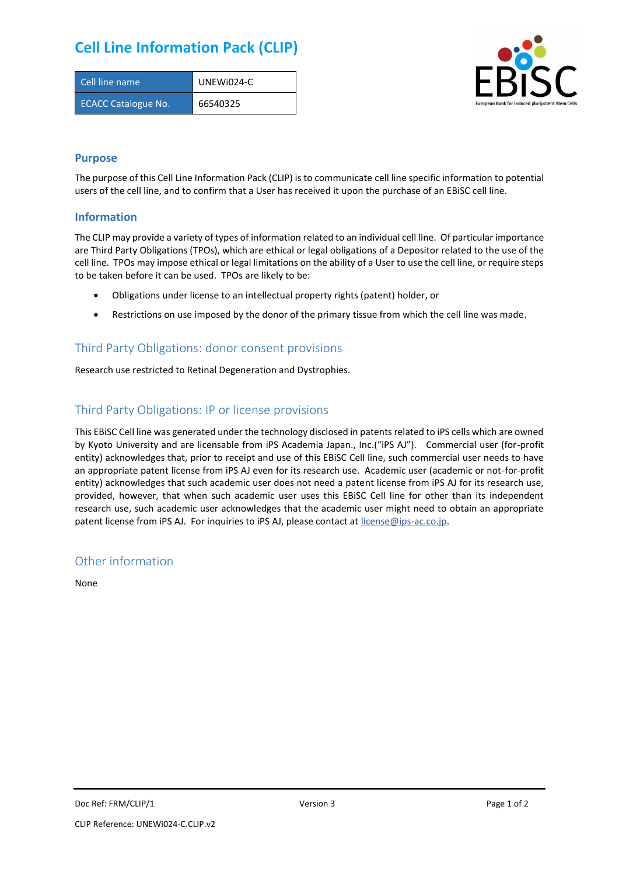# **Cell Line Information Pack (CLIP)**

| Cell line name             | UNEWI024-C |
|----------------------------|------------|
| <b>ECACC Catalogue No.</b> | 66540325   |



### **Purpose**

The purpose of this Cell Line Information Pack (CLIP) is to communicate cell line specific information to potential users of the cell line, and to confirm that a User has received it upon the purchase of an EBiSC cell line.

#### **Information**

The CLIP may provide a variety of types of information related to an individual cell line. Of particular importance are Third Party Obligations (TPOs), which are ethical or legal obligations of a Depositor related to the use of the cell line. TPOs may impose ethical or legal limitations on the ability of a User to use the cell line, or require steps to be taken before it can be used. TPOs are likely to be:

- Obligations under license to an intellectual property rights (patent) holder, or
- Restrictions on use imposed by the donor of the primary tissue from which the cell line was made.

## Third Party Obligations: donor consent provisions

Research use restricted to Retinal Degeneration and Dystrophies.

# Third Party Obligations: IP or license provisions

This EBiSC Cell line was generated under the technology disclosed in patents related to iPS cells which are owned by Kyoto University and are licensable from iPS Academia Japan., Inc.("iPS AJ"). Commercial user (for-profit entity) acknowledges that, prior to receipt and use of this EBiSC Cell line, such commercial user needs to have an appropriate patent license from iPS AJ even for its research use. Academic user (academic or not-for-profit entity) acknowledges that such academic user does not need a patent license from iPS AJ for its research use, provided, however, that when such academic user uses this EBiSC Cell line for other than its independent research use, such academic user acknowledges that the academic user might need to obtain an appropriate patent license from iPS AJ. For inquiries to iPS AJ, please contact at [license@ips-ac.co.jp.](mailto:license@ips-ac.co.jp)

### Other information

None